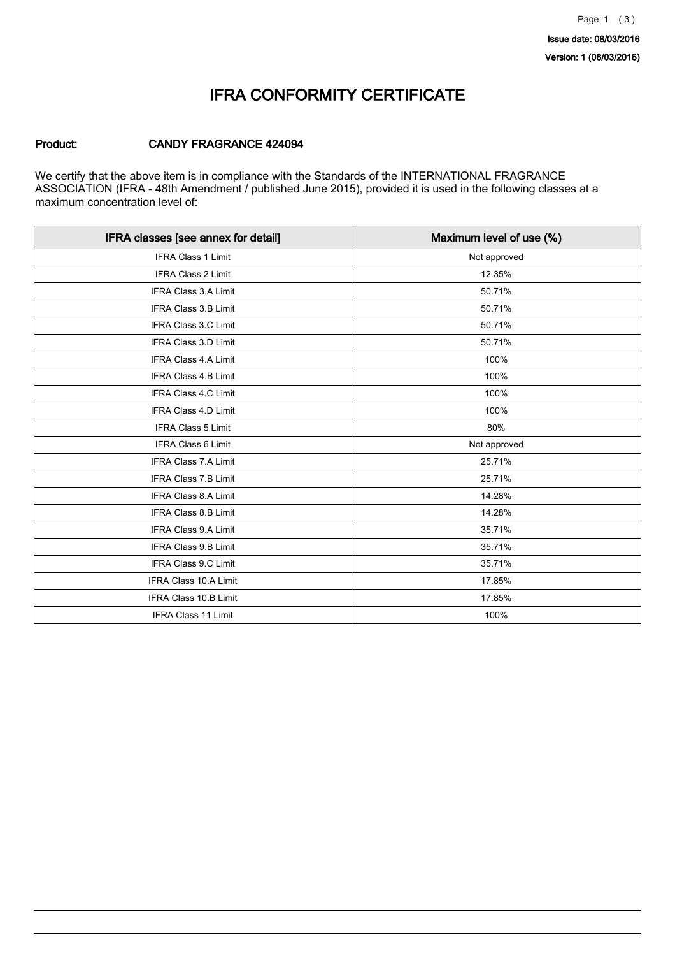Version: 1 (08/03/2016)

### IFRA CONFORMITY CERTIFICATE

#### Product: CANDY FRAGRANCE 424094

We certify that the above item is in compliance with the Standards of the INTERNATIONAL FRAGRANCE ASSOCIATION (IFRA - 48th Amendment / published June 2015), provided it is used in the following classes at a maximum concentration level of:

| IFRA classes [see annex for detail] | Maximum level of use (%) |
|-------------------------------------|--------------------------|
| <b>IFRA Class 1 Limit</b>           | Not approved             |
| <b>IFRA Class 2 Limit</b>           | 12.35%                   |
| <b>IFRA Class 3.A Limit</b>         | 50.71%                   |
| IFRA Class 3.B Limit                | 50.71%                   |
| <b>IFRA Class 3.C Limit</b>         | 50.71%                   |
| IFRA Class 3.D Limit                | 50.71%                   |
| <b>IFRA Class 4.A Limit</b>         | 100%                     |
| <b>IFRA Class 4.B Limit</b>         | 100%                     |
| IFRA Class 4.C Limit                | 100%                     |
| <b>IFRA Class 4.D Limit</b>         | 100%                     |
| <b>IFRA Class 5 Limit</b>           | 80%                      |
| IFRA Class 6 Limit                  | Not approved             |
| <b>IFRA Class 7.A Limit</b>         | 25.71%                   |
| <b>IFRA Class 7.B Limit</b>         | 25.71%                   |
| IFRA Class 8.A Limit                | 14.28%                   |
| <b>IFRA Class 8.B Limit</b>         | 14.28%                   |
| IFRA Class 9.A Limit                | 35.71%                   |
| <b>IFRA Class 9.B Limit</b>         | 35.71%                   |
| IFRA Class 9.C Limit                | 35.71%                   |
| IFRA Class 10.A Limit               | 17.85%                   |
| IFRA Class 10.B Limit               | 17.85%                   |
| <b>IFRA Class 11 Limit</b>          | 100%                     |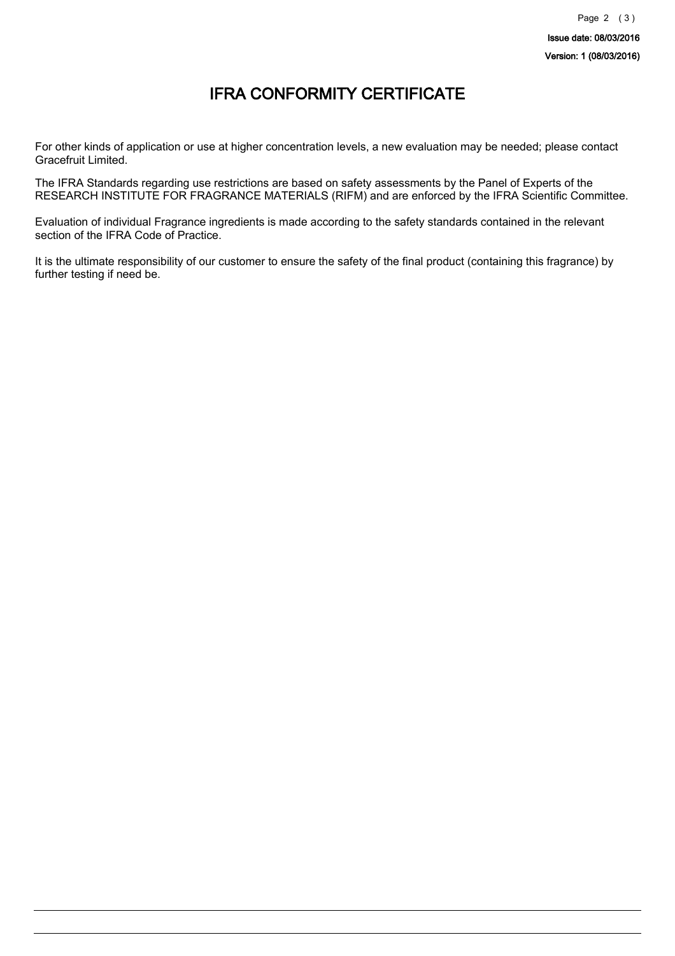## IFRA CONFORMITY CERTIFICATE

For other kinds of application or use at higher concentration levels, a new evaluation may be needed; please contact Gracefruit Limited.

The IFRA Standards regarding use restrictions are based on safety assessments by the Panel of Experts of the RESEARCH INSTITUTE FOR FRAGRANCE MATERIALS (RIFM) and are enforced by the IFRA Scientific Committee.

Evaluation of individual Fragrance ingredients is made according to the safety standards contained in the relevant section of the IFRA Code of Practice.

It is the ultimate responsibility of our customer to ensure the safety of the final product (containing this fragrance) by further testing if need be.